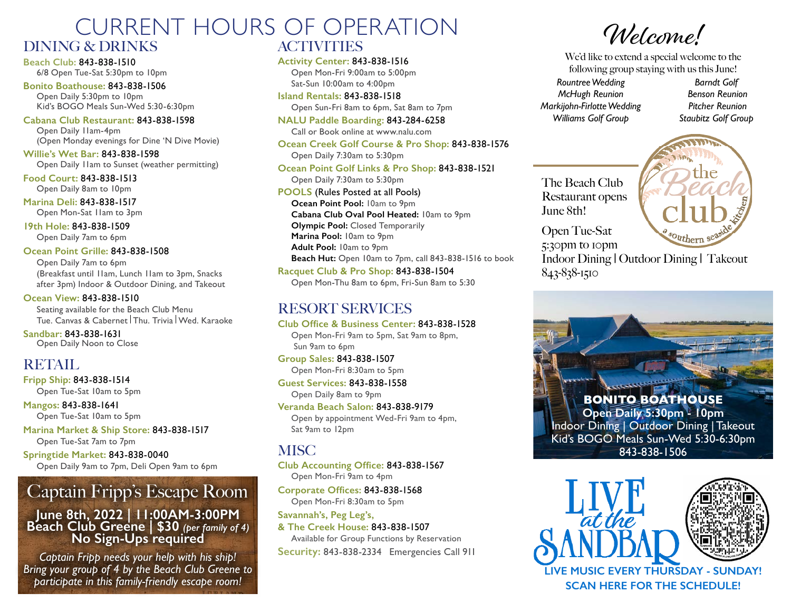## CURRENT HOURS OF OPERATION DINING & DRINKS **ACTIVITIES**

**Beach Club:** 843-838-1510 6/8 Open Tue-Sat 5:30pm to 10pm

**Bonito Boathouse:** 843-838-1506 Open Daily 5:30pm to 10pm Kid's BOGO Meals Sun-Wed 5:30-6:30pm

**Cabana Club Restaurant:** 843-838-1598 Open Daily 11am-4pm (Open Monday evenings for Dine 'N Dive Movie)

**Willie's Wet Bar:** 843-838-1598 Open Daily 11am to Sunset (weather permitting)

**Food Court:** 843-838-1513 Open Daily 8am to 10pm

**Marina Deli:** 843-838-1517 Open Mon-Sat 11am to 3pm

**19th Hole:** 843-838-1509

Open Daily 7am to 6pm

**Ocean Point Grille:** 843-838-1508 Open Daily 7am to 6pm (Breakfast until 11am, Lunch 11am to 3pm, Snacks after 3pm) Indoor & Outdoor Dining, and Takeout

**Ocean View:** 843-838-1510

Seating available for the Beach Club Menu Tue. Canvas & Cabernet Thu. Trivia Wed. Karaoke

**Sandbar:** 843-838-1631 Open Daily Noon to Close

## RETAIL

**Fripp Ship:** 843-838-1514 Open Tue-Sat 10am to 5pm

**Mangos:** 843-838-1641 Open Tue-Sat 10am to 5pm

**Marina Market & Ship Store:** 843-838-1517 Open Tue-Sat 7am to 7pm

**Springtide Market:** 843-838-0040 Open Daily 9am to 7pm, Deli Open 9am to 6pm

# Captain Fripp's Escape Room

#### **June 8th, 2022 | 11:00AM-3:00PM Beach Club Greene | \$30** *(per family of 4)* **No Sign-Ups required**

*Captain Fripp needs your help with his ship! Bring your group of 4 by the Beach Club Greene to participate in this family-friendly escape room!* 

**Activity Center:** 843-838-1516

Open Mon-Fri 9:00am to 5:00pm Sat-Sun 10:00am to 4:00pm

**Island Rentals:** 843-838-1518 Open Sun-Fri 8am to 6pm, Sat 8am to 7pm

**NALU Paddle Boarding:** 843-284-6258 Call or Book online at www.nalu.com

**Ocean Creek Golf Course & Pro Shop:** 843-838-1576 Open Daily 7:30am to 5:30pm **Ocean Point Golf Links & Pro Shop:** 843-838-1521

Open Daily 7:30am to 5:30pm

**POOLS** (Rules Posted at all Pools) **Ocean Point Pool:** 10am to 9pm **Cabana Club Oval Pool Heated:** 10am to 9pm **Olympic Pool:** Closed Temporarily **Marina Pool:** 10am to 9pm **Adult Pool:** 10am to 9pm **Beach Hut:** Open 10am to 7pm, call 843-838-1516 to book **Racquet Club & Pro Shop:** 843-838-1504

Open Mon-Thu 8am to 6pm, Fri-Sun 8am to 5:30

## RESORT SERVICES

**Club Office & Business Center:** 843-838-1528 Open Mon-Fri 9am to 5pm, Sat 9am to 8pm, Sun 9am to 6pm

**Group Sales:** 843-838-1507 Open Mon-Fri 8:30am to 5pm

**Guest Services:** 843-838-1558 Open Daily 8am to 9pm

**Veranda Beach Salon:** 843-838-9179 Open by appointment Wed-Fri 9am to 4pm, Sat 9am to 12pm

## **MISC**

**Club Accounting Office:** 843-838-1567 Open Mon-Fri 9am to 4pm

**Corporate Offices:** 843-838-1568 Open Mon-Fri 8:30am to 5pm

**Savannah's, Peg Leg's,** 

**& The Creek House:** 843-838-1507

Available for Group Functions by Reservation **Security:** 843-838-2334 Emergencies Call 911

Welcome!

We'd like to extend a special welcome to the following group staying with us this June!

*Rountree Wedding McHugh Reunion Markijohn-Firlotte Wedding Williams Golf Group*

*Barndt Golf Benson Reunion Pitcher Reunion Staubitz Golf Group*

The Beach Club Restaurant opens June 8th!



Open Tue-Sat 5:30pm to 10pm

Indoor Dining | Outdoor Dining | Takeout 843-838-1510





**SCAN HERE FOR THE SCHEDULE!**